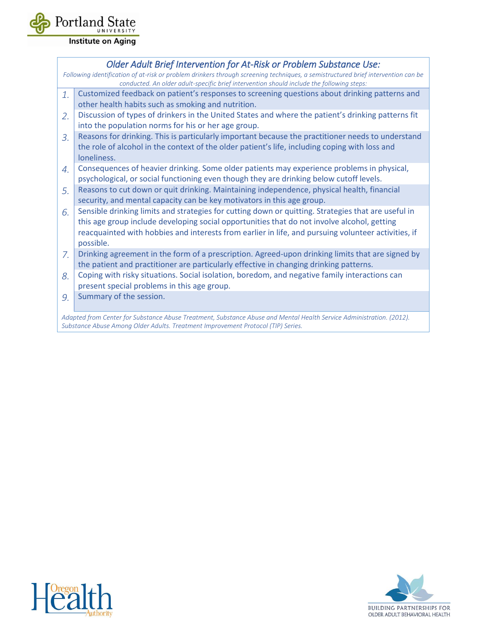

**Institute on Aging** 

|                                                                                           | Older Adult Brief Intervention for At-Risk or Problem Substance Use:                                                                                                                                |  |  |  |  |  |  |
|-------------------------------------------------------------------------------------------|-----------------------------------------------------------------------------------------------------------------------------------------------------------------------------------------------------|--|--|--|--|--|--|
|                                                                                           | Following identification of at-risk or problem drinkers through screening techniques, a semistructured brief intervention can be                                                                    |  |  |  |  |  |  |
| conducted. An older adult-specific brief intervention should include the following steps: |                                                                                                                                                                                                     |  |  |  |  |  |  |
| 1.                                                                                        | Customized feedback on patient's responses to screening questions about drinking patterns and                                                                                                       |  |  |  |  |  |  |
|                                                                                           | other health habits such as smoking and nutrition.                                                                                                                                                  |  |  |  |  |  |  |
| 2.                                                                                        | Discussion of types of drinkers in the United States and where the patient's drinking patterns fit                                                                                                  |  |  |  |  |  |  |
|                                                                                           | into the population norms for his or her age group.                                                                                                                                                 |  |  |  |  |  |  |
| 3.                                                                                        | Reasons for drinking. This is particularly important because the practitioner needs to understand<br>the role of alcohol in the context of the older patient's life, including coping with loss and |  |  |  |  |  |  |
|                                                                                           | loneliness.                                                                                                                                                                                         |  |  |  |  |  |  |
| 4.                                                                                        | Consequences of heavier drinking. Some older patients may experience problems in physical,                                                                                                          |  |  |  |  |  |  |
|                                                                                           | psychological, or social functioning even though they are drinking below cutoff levels.                                                                                                             |  |  |  |  |  |  |
| 5.                                                                                        | Reasons to cut down or quit drinking. Maintaining independence, physical health, financial                                                                                                          |  |  |  |  |  |  |
|                                                                                           | security, and mental capacity can be key motivators in this age group.                                                                                                                              |  |  |  |  |  |  |
| 6.                                                                                        | Sensible drinking limits and strategies for cutting down or quitting. Strategies that are useful in                                                                                                 |  |  |  |  |  |  |
|                                                                                           | this age group include developing social opportunities that do not involve alcohol, getting                                                                                                         |  |  |  |  |  |  |
|                                                                                           | reacquainted with hobbies and interests from earlier in life, and pursuing volunteer activities, if                                                                                                 |  |  |  |  |  |  |
|                                                                                           | possible.                                                                                                                                                                                           |  |  |  |  |  |  |
| 7.                                                                                        | Drinking agreement in the form of a prescription. Agreed-upon drinking limits that are signed by                                                                                                    |  |  |  |  |  |  |
|                                                                                           | the patient and practitioner are particularly effective in changing drinking patterns.                                                                                                              |  |  |  |  |  |  |
| 8.                                                                                        | Coping with risky situations. Social isolation, boredom, and negative family interactions can                                                                                                       |  |  |  |  |  |  |
|                                                                                           | present special problems in this age group.                                                                                                                                                         |  |  |  |  |  |  |
| 9.                                                                                        | Summary of the session.                                                                                                                                                                             |  |  |  |  |  |  |
|                                                                                           |                                                                                                                                                                                                     |  |  |  |  |  |  |
|                                                                                           | Adapted from Center for Substance Abuse Treatment, Substance Abuse and Mental Health Service Administration. (2012).                                                                                |  |  |  |  |  |  |

*Adapted from Center for Substance Abuse Treatment, Substance Abuse and Mental Health Service Administration. (2012). Substance Abuse Among Older Adults. Treatment Improvement Protocol (TIP) Series.*